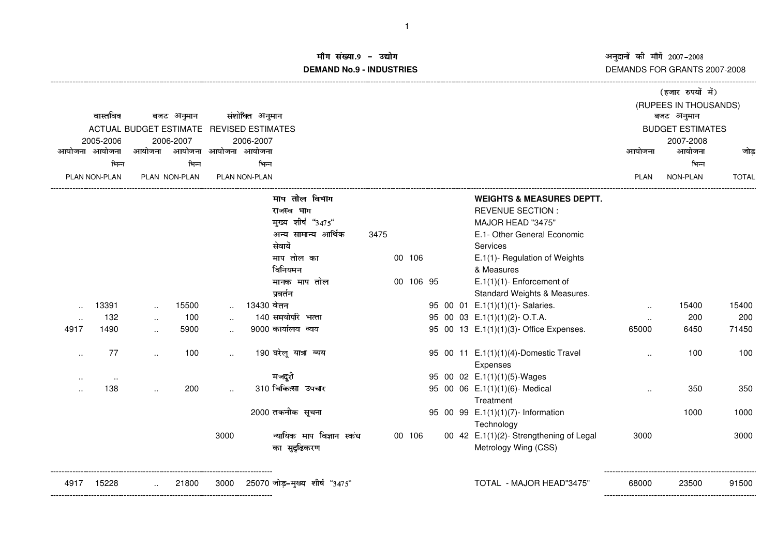नुदानों की माँगें 2007–20<br>EMANDS FOR GRANT DEMANDS FOR GRANTS 2007-2008

## .<br>मि संख्या.9 – उद्योग बाद के बाद कर के अन्य प्रकाश कर कर अन **DEMAND No.9 - INDUSTRIES**

|                                          |                                          |                      |       |                      |            |                               |      |  |            |  |  |                                                  | (हजार रुपयों में)    |                         |              |  |
|------------------------------------------|------------------------------------------|----------------------|-------|----------------------|------------|-------------------------------|------|--|------------|--|--|--------------------------------------------------|----------------------|-------------------------|--------------|--|
|                                          |                                          |                      |       |                      |            |                               |      |  |            |  |  |                                                  |                      | (RUPEES IN THOUSANDS)   |              |  |
|                                          | संशोधित अनुमान<br>वास्तविक<br>बजट अनुमान |                      |       |                      |            |                               |      |  | बजट अनुमान |  |  |                                                  |                      |                         |              |  |
| ACTUAL BUDGET ESTIMATE REVISED ESTIMATES |                                          |                      |       |                      |            |                               |      |  |            |  |  |                                                  |                      | <b>BUDGET ESTIMATES</b> |              |  |
| 2005-2006                                |                                          | 2006-2007            |       |                      | 2006-2007  |                               |      |  |            |  |  |                                                  |                      | 2007-2008               |              |  |
| आयोजना आयोजना                            |                                          | आयोजना               |       | आयोजना आयोजना आयोजना |            |                               |      |  |            |  |  |                                                  | आयोजना               | आयोजना                  | जोड          |  |
| भिन्न                                    |                                          | भिन्न                |       | भिन्न                |            |                               |      |  |            |  |  |                                                  |                      | भिन्न                   |              |  |
|                                          | PLAN NON-PLAN                            | PLAN NON-PLAN        |       | <b>PLAN NON-PLAN</b> |            |                               |      |  |            |  |  |                                                  | <b>PLAN</b>          | NON-PLAN                | <b>TOTAL</b> |  |
|                                          |                                          |                      |       |                      |            | माप तोल विभाग                 |      |  |            |  |  | <b>WEIGHTS &amp; MEASURES DEPTT.</b>             |                      |                         |              |  |
|                                          |                                          |                      |       |                      |            | राजस्व भाग                    |      |  |            |  |  | <b>REVENUE SECTION:</b>                          |                      |                         |              |  |
|                                          |                                          |                      |       |                      |            | मुख्य शीर्ष "3475"            |      |  |            |  |  | MAJOR HEAD "3475"                                |                      |                         |              |  |
|                                          |                                          |                      |       |                      |            | अन्य सामान्य आर्थिक           | 3475 |  |            |  |  | E.1- Other General Economic                      |                      |                         |              |  |
|                                          |                                          |                      |       |                      |            | सेवायें                       |      |  |            |  |  | Services                                         |                      |                         |              |  |
|                                          |                                          |                      |       |                      |            | माप तोल का                    |      |  | 00 106     |  |  | E.1(1)- Regulation of Weights                    |                      |                         |              |  |
|                                          |                                          |                      |       |                      |            | विनियमन                       |      |  |            |  |  | & Measures                                       |                      |                         |              |  |
|                                          |                                          |                      |       |                      |            | मानक माप तोल                  |      |  | 00 106 95  |  |  | $E.1(1)(1)$ - Enforcement of                     |                      |                         |              |  |
|                                          |                                          |                      |       |                      |            | प्रवर्तन                      |      |  |            |  |  | Standard Weights & Measures.                     |                      |                         |              |  |
|                                          | 13391                                    | $\ddotsc$            | 15500 | $\sim$               | 13430 वेतन |                               |      |  |            |  |  | 95 00 01 E.1(1)(1)(1)- Salaries.                 | $\sim$               | 15400                   | 15400        |  |
|                                          | 132                                      | $\ddot{\phantom{a}}$ | 100   |                      |            | 140 समयोपरि भत्ता             |      |  |            |  |  | 95 00 03 E.1(1)(1)(2)-O.T.A.                     | $\ddotsc$            | 200                     | 200          |  |
| 4917                                     | 1490                                     |                      | 5900  |                      |            | 9000 कार्यालय व्यय            |      |  |            |  |  | 95 00 13 E.1(1)(1)(3)- Office Expenses.          | 65000                | 6450                    | 71450        |  |
|                                          | 77                                       | $\ddot{\phantom{a}}$ | 100   | $\ddotsc$            |            | 190 घरेलू यात्रा व्यय         |      |  |            |  |  | 95 00 11 E.1(1)(1)(4)-Domestic Travel            | $\ddot{\phantom{a}}$ | 100                     | 100          |  |
|                                          |                                          |                      |       |                      |            |                               |      |  |            |  |  | Expenses                                         |                      |                         |              |  |
|                                          | $\ddot{\phantom{a}}$                     |                      |       |                      |            | मजदुरी                        |      |  |            |  |  | 95 00 02 E.1(1)(1)(5)-Wages                      |                      |                         |              |  |
|                                          | 138                                      |                      | 200   | $\sim$               |            | 310 चिकित्सा उपचार            |      |  |            |  |  | 95 00 06 E.1(1)(1)(6)- Medical                   |                      | 350                     | 350          |  |
|                                          |                                          |                      |       |                      |            |                               |      |  |            |  |  | Treatment                                        |                      |                         |              |  |
|                                          |                                          |                      |       |                      |            | 2000 तकनीक सूचना              |      |  |            |  |  | 95 00 99 E.1(1)(1)(7)- Information<br>Technology |                      | 1000                    | 1000         |  |
|                                          |                                          |                      |       | 3000                 |            | न्यायिक माप विज्ञान स्कंध     |      |  | 00 106     |  |  | 00 42 E.1(1)(2)- Strengthening of Legal          | 3000                 |                         | 3000         |  |
|                                          |                                          |                      |       |                      |            | का सुदृढिकरण                  |      |  |            |  |  | Metrology Wing (CSS)                             |                      |                         |              |  |
| 4917                                     | 15228                                    |                      | 21800 | 3000                 |            | 25070 जोड़-मुख्य शीर्ष "3475" |      |  |            |  |  | TOTAL - MAJOR HEAD"3475"                         | 68000                | 23500                   | 91500        |  |
|                                          |                                          |                      |       |                      |            |                               |      |  |            |  |  |                                                  |                      |                         |              |  |

1

-----------------------------------------------------------------------------------------------------------------------------------------------------------------------------------------------------------------------------------------------------------------------